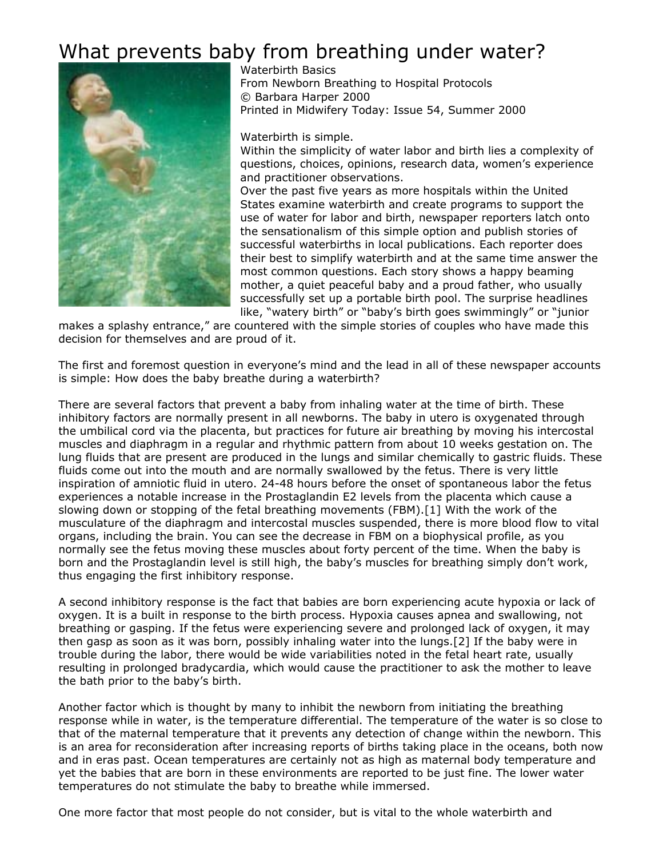## What prevents baby from breathing under water?



Waterbirth Basics From Newborn Breathing to Hospital Protocols © Barbara Harper 2000 Printed in Midwifery Today: Issue 54, Summer 2000

Waterbirth is simple.

Within the simplicity of water labor and birth lies a complexity of questions, choices, opinions, research data, women's experience and practitioner observations.

Over the past five years as more hospitals within the United States examine waterbirth and create programs to support the use of water for labor and birth, newspaper reporters latch onto the sensationalism of this simple option and publish stories of successful waterbirths in local publications. Each reporter does their best to simplify waterbirth and at the same time answer the most common questions. Each story shows a happy beaming mother, a quiet peaceful baby and a proud father, who usually successfully set up a portable birth pool. The surprise headlines like, "watery birth" or "baby's birth goes swimmingly" or "junior

makes a splashy entrance," are countered with the simple stories of couples who have made this decision for themselves and are proud of it.

The first and foremost question in everyone's mind and the lead in all of these newspaper accounts is simple: How does the baby breathe during a waterbirth?

There are several factors that prevent a baby from inhaling water at the time of birth. These inhibitory factors are normally present in all newborns. The baby in utero is oxygenated through the umbilical cord via the placenta, but practices for future air breathing by moving his intercostal muscles and diaphragm in a regular and rhythmic pattern from about 10 weeks gestation on. The lung fluids that are present are produced in the lungs and similar chemically to gastric fluids. These fluids come out into the mouth and are normally swallowed by the fetus. There is very little inspiration of amniotic fluid in utero. 24-48 hours before the onset of spontaneous labor the fetus experiences a notable increase in the Prostaglandin E2 levels from the placenta which cause a slowing down or stopping of the fetal breathing movements (FBM).[1] With the work of the musculature of the diaphragm and intercostal muscles suspended, there is more blood flow to vital organs, including the brain. You can see the decrease in FBM on a biophysical profile, as you normally see the fetus moving these muscles about forty percent of the time. When the baby is born and the Prostaglandin level is still high, the baby's muscles for breathing simply don't work, thus engaging the first inhibitory response.

A second inhibitory response is the fact that babies are born experiencing acute hypoxia or lack of oxygen. It is a built in response to the birth process. Hypoxia causes apnea and swallowing, not breathing or gasping. If the fetus were experiencing severe and prolonged lack of oxygen, it may then gasp as soon as it was born, possibly inhaling water into the lungs.[2] If the baby were in trouble during the labor, there would be wide variabilities noted in the fetal heart rate, usually resulting in prolonged bradycardia, which would cause the practitioner to ask the mother to leave the bath prior to the baby's birth.

Another factor which is thought by many to inhibit the newborn from initiating the breathing response while in water, is the temperature differential. The temperature of the water is so close to that of the maternal temperature that it prevents any detection of change within the newborn. This is an area for reconsideration after increasing reports of births taking place in the oceans, both now and in eras past. Ocean temperatures are certainly not as high as maternal body temperature and yet the babies that are born in these environments are reported to be just fine. The lower water temperatures do not stimulate the baby to breathe while immersed.

One more factor that most people do not consider, but is vital to the whole waterbirth and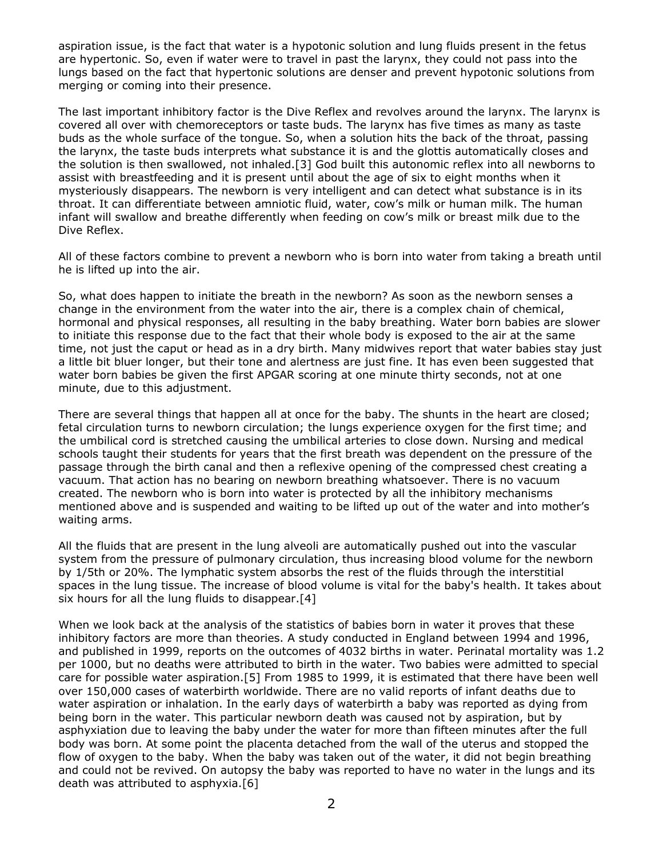aspiration issue, is the fact that water is a hypotonic solution and lung fluids present in the fetus are hypertonic. So, even if water were to travel in past the larynx, they could not pass into the lungs based on the fact that hypertonic solutions are denser and prevent hypotonic solutions from merging or coming into their presence.

The last important inhibitory factor is the Dive Reflex and revolves around the larynx. The larynx is covered all over with chemoreceptors or taste buds. The larynx has five times as many as taste buds as the whole surface of the tongue. So, when a solution hits the back of the throat, passing the larynx, the taste buds interprets what substance it is and the glottis automatically closes and the solution is then swallowed, not inhaled.[3] God built this autonomic reflex into all newborns to assist with breastfeeding and it is present until about the age of six to eight months when it mysteriously disappears. The newborn is very intelligent and can detect what substance is in its throat. It can differentiate between amniotic fluid, water, cow's milk or human milk. The human infant will swallow and breathe differently when feeding on cow's milk or breast milk due to the Dive Reflex.

All of these factors combine to prevent a newborn who is born into water from taking a breath until he is lifted up into the air.

So, what does happen to initiate the breath in the newborn? As soon as the newborn senses a change in the environment from the water into the air, there is a complex chain of chemical, hormonal and physical responses, all resulting in the baby breathing. Water born babies are slower to initiate this response due to the fact that their whole body is exposed to the air at the same time, not just the caput or head as in a dry birth. Many midwives report that water babies stay just a little bit bluer longer, but their tone and alertness are just fine. It has even been suggested that water born babies be given the first APGAR scoring at one minute thirty seconds, not at one minute, due to this adjustment.

There are several things that happen all at once for the baby. The shunts in the heart are closed; fetal circulation turns to newborn circulation; the lungs experience oxygen for the first time; and the umbilical cord is stretched causing the umbilical arteries to close down. Nursing and medical schools taught their students for years that the first breath was dependent on the pressure of the passage through the birth canal and then a reflexive opening of the compressed chest creating a vacuum. That action has no bearing on newborn breathing whatsoever. There is no vacuum created. The newborn who is born into water is protected by all the inhibitory mechanisms mentioned above and is suspended and waiting to be lifted up out of the water and into mother's waiting arms.

All the fluids that are present in the lung alveoli are automatically pushed out into the vascular system from the pressure of pulmonary circulation, thus increasing blood volume for the newborn by 1/5th or 20%. The lymphatic system absorbs the rest of the fluids through the interstitial spaces in the lung tissue. The increase of blood volume is vital for the baby's health. It takes about six hours for all the lung fluids to disappear.[4]

When we look back at the analysis of the statistics of babies born in water it proves that these inhibitory factors are more than theories. A study conducted in England between 1994 and 1996, and published in 1999, reports on the outcomes of 4032 births in water. Perinatal mortality was 1.2 per 1000, but no deaths were attributed to birth in the water. Two babies were admitted to special care for possible water aspiration.[5] From 1985 to 1999, it is estimated that there have been well over 150,000 cases of waterbirth worldwide. There are no valid reports of infant deaths due to water aspiration or inhalation. In the early days of waterbirth a baby was reported as dying from being born in the water. This particular newborn death was caused not by aspiration, but by asphyxiation due to leaving the baby under the water for more than fifteen minutes after the full body was born. At some point the placenta detached from the wall of the uterus and stopped the flow of oxygen to the baby. When the baby was taken out of the water, it did not begin breathing and could not be revived. On autopsy the baby was reported to have no water in the lungs and its death was attributed to asphyxia.[6]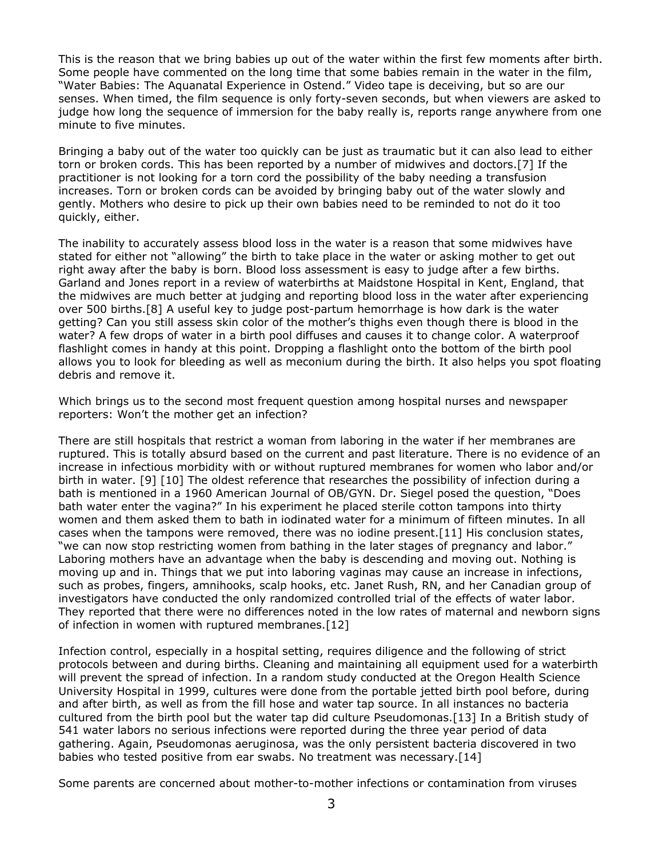This is the reason that we bring babies up out of the water within the first few moments after birth. Some people have commented on the long time that some babies remain in the water in the film, "Water Babies: The Aquanatal Experience in Ostend." Video tape is deceiving, but so are our senses. When timed, the film sequence is only forty-seven seconds, but when viewers are asked to judge how long the sequence of immersion for the baby really is, reports range anywhere from one minute to five minutes.

Bringing a baby out of the water too quickly can be just as traumatic but it can also lead to either torn or broken cords. This has been reported by a number of midwives and doctors.[7] If the practitioner is not looking for a torn cord the possibility of the baby needing a transfusion increases. Torn or broken cords can be avoided by bringing baby out of the water slowly and gently. Mothers who desire to pick up their own babies need to be reminded to not do it too quickly, either.

The inability to accurately assess blood loss in the water is a reason that some midwives have stated for either not "allowing" the birth to take place in the water or asking mother to get out right away after the baby is born. Blood loss assessment is easy to judge after a few births. Garland and Jones report in a review of waterbirths at Maidstone Hospital in Kent, England, that the midwives are much better at judging and reporting blood loss in the water after experiencing over 500 births.[8] A useful key to judge post-partum hemorrhage is how dark is the water getting? Can you still assess skin color of the mother's thighs even though there is blood in the water? A few drops of water in a birth pool diffuses and causes it to change color. A waterproof flashlight comes in handy at this point. Dropping a flashlight onto the bottom of the birth pool allows you to look for bleeding as well as meconium during the birth. It also helps you spot floating debris and remove it.

Which brings us to the second most frequent question among hospital nurses and newspaper reporters: Won't the mother get an infection?

There are still hospitals that restrict a woman from laboring in the water if her membranes are ruptured. This is totally absurd based on the current and past literature. There is no evidence of an increase in infectious morbidity with or without ruptured membranes for women who labor and/or birth in water. [9] [10] The oldest reference that researches the possibility of infection during a bath is mentioned in a 1960 American Journal of OB/GYN. Dr. Siegel posed the question, "Does bath water enter the vagina?" In his experiment he placed sterile cotton tampons into thirty women and them asked them to bath in iodinated water for a minimum of fifteen minutes. In all cases when the tampons were removed, there was no iodine present.[11] His conclusion states, "we can now stop restricting women from bathing in the later stages of pregnancy and labor." Laboring mothers have an advantage when the baby is descending and moving out. Nothing is moving up and in. Things that we put into laboring vaginas may cause an increase in infections, such as probes, fingers, amnihooks, scalp hooks, etc. Janet Rush, RN, and her Canadian group of investigators have conducted the only randomized controlled trial of the effects of water labor. They reported that there were no differences noted in the low rates of maternal and newborn signs of infection in women with ruptured membranes.[12]

Infection control, especially in a hospital setting, requires diligence and the following of strict protocols between and during births. Cleaning and maintaining all equipment used for a waterbirth will prevent the spread of infection. In a random study conducted at the Oregon Health Science University Hospital in 1999, cultures were done from the portable jetted birth pool before, during and after birth, as well as from the fill hose and water tap source. In all instances no bacteria cultured from the birth pool but the water tap did culture Pseudomonas.[13] In a British study of 541 water labors no serious infections were reported during the three year period of data gathering. Again, Pseudomonas aeruginosa, was the only persistent bacteria discovered in two babies who tested positive from ear swabs. No treatment was necessary.[14]

Some parents are concerned about mother-to-mother infections or contamination from viruses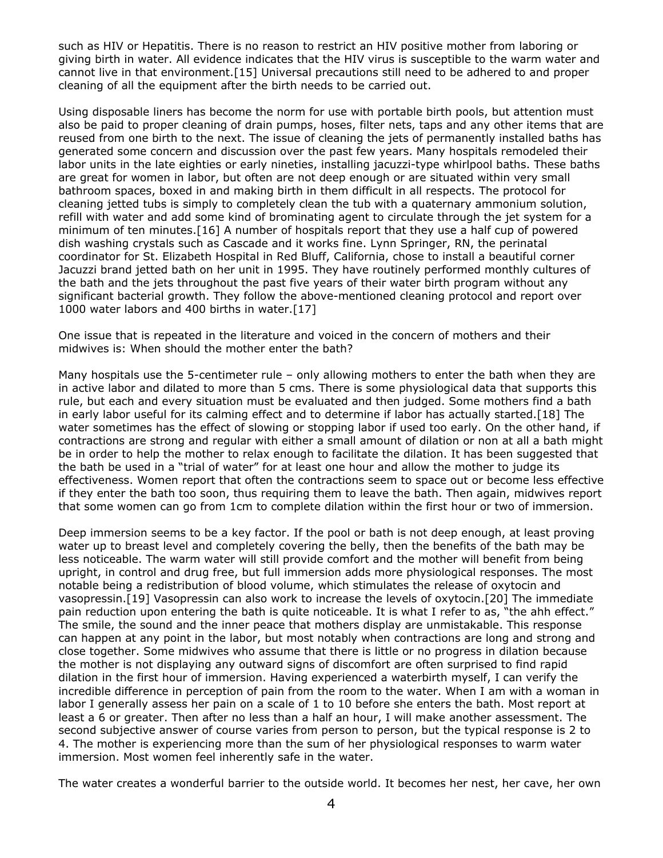such as HIV or Hepatitis. There is no reason to restrict an HIV positive mother from laboring or giving birth in water. All evidence indicates that the HIV virus is susceptible to the warm water and cannot live in that environment.[15] Universal precautions still need to be adhered to and proper cleaning of all the equipment after the birth needs to be carried out.

Using disposable liners has become the norm for use with portable birth pools, but attention must also be paid to proper cleaning of drain pumps, hoses, filter nets, taps and any other items that are reused from one birth to the next. The issue of cleaning the jets of permanently installed baths has generated some concern and discussion over the past few years. Many hospitals remodeled their labor units in the late eighties or early nineties, installing jacuzzi-type whirlpool baths. These baths are great for women in labor, but often are not deep enough or are situated within very small bathroom spaces, boxed in and making birth in them difficult in all respects. The protocol for cleaning jetted tubs is simply to completely clean the tub with a quaternary ammonium solution, refill with water and add some kind of brominating agent to circulate through the jet system for a minimum of ten minutes.[16] A number of hospitals report that they use a half cup of powered dish washing crystals such as Cascade and it works fine. Lynn Springer, RN, the perinatal coordinator for St. Elizabeth Hospital in Red Bluff, California, chose to install a beautiful corner Jacuzzi brand jetted bath on her unit in 1995. They have routinely performed monthly cultures of the bath and the jets throughout the past five years of their water birth program without any significant bacterial growth. They follow the above-mentioned cleaning protocol and report over 1000 water labors and 400 births in water.[17]

One issue that is repeated in the literature and voiced in the concern of mothers and their midwives is: When should the mother enter the bath?

Many hospitals use the 5-centimeter rule – only allowing mothers to enter the bath when they are in active labor and dilated to more than 5 cms. There is some physiological data that supports this rule, but each and every situation must be evaluated and then judged. Some mothers find a bath in early labor useful for its calming effect and to determine if labor has actually started.[18] The water sometimes has the effect of slowing or stopping labor if used too early. On the other hand, if contractions are strong and regular with either a small amount of dilation or non at all a bath might be in order to help the mother to relax enough to facilitate the dilation. It has been suggested that the bath be used in a "trial of water" for at least one hour and allow the mother to judge its effectiveness. Women report that often the contractions seem to space out or become less effective if they enter the bath too soon, thus requiring them to leave the bath. Then again, midwives report that some women can go from 1cm to complete dilation within the first hour or two of immersion.

Deep immersion seems to be a key factor. If the pool or bath is not deep enough, at least proving water up to breast level and completely covering the belly, then the benefits of the bath may be less noticeable. The warm water will still provide comfort and the mother will benefit from being upright, in control and drug free, but full immersion adds more physiological responses. The most notable being a redistribution of blood volume, which stimulates the release of oxytocin and vasopressin.[19] Vasopressin can also work to increase the levels of oxytocin.[20] The immediate pain reduction upon entering the bath is quite noticeable. It is what I refer to as, "the ahh effect." The smile, the sound and the inner peace that mothers display are unmistakable. This response can happen at any point in the labor, but most notably when contractions are long and strong and close together. Some midwives who assume that there is little or no progress in dilation because the mother is not displaying any outward signs of discomfort are often surprised to find rapid dilation in the first hour of immersion. Having experienced a waterbirth myself, I can verify the incredible difference in perception of pain from the room to the water. When I am with a woman in labor I generally assess her pain on a scale of 1 to 10 before she enters the bath. Most report at least a 6 or greater. Then after no less than a half an hour, I will make another assessment. The second subjective answer of course varies from person to person, but the typical response is 2 to 4. The mother is experiencing more than the sum of her physiological responses to warm water immersion. Most women feel inherently safe in the water.

The water creates a wonderful barrier to the outside world. It becomes her nest, her cave, her own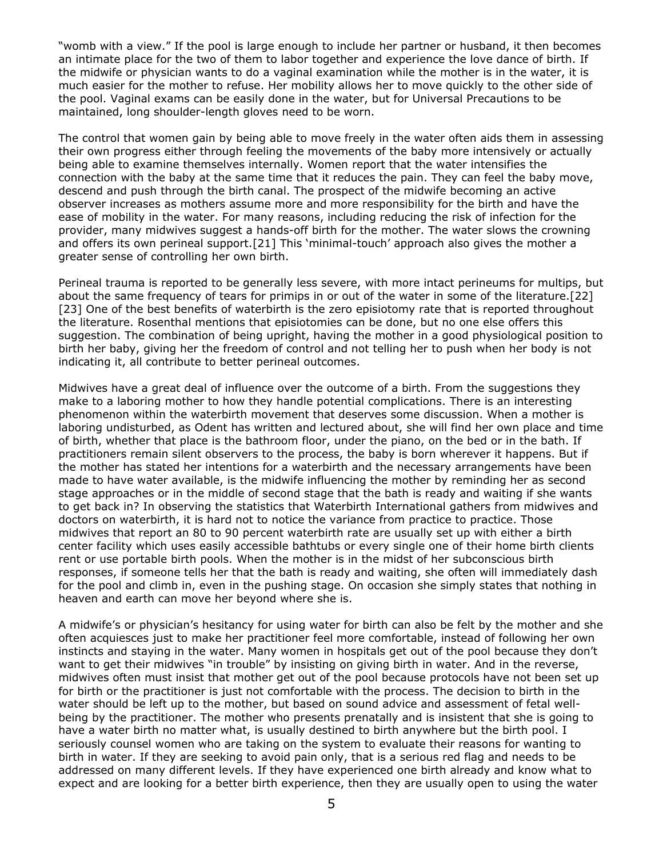"womb with a view." If the pool is large enough to include her partner or husband, it then becomes an intimate place for the two of them to labor together and experience the love dance of birth. If the midwife or physician wants to do a vaginal examination while the mother is in the water, it is much easier for the mother to refuse. Her mobility allows her to move quickly to the other side of the pool. Vaginal exams can be easily done in the water, but for Universal Precautions to be maintained, long shoulder-length gloves need to be worn.

The control that women gain by being able to move freely in the water often aids them in assessing their own progress either through feeling the movements of the baby more intensively or actually being able to examine themselves internally. Women report that the water intensifies the connection with the baby at the same time that it reduces the pain. They can feel the baby move, descend and push through the birth canal. The prospect of the midwife becoming an active observer increases as mothers assume more and more responsibility for the birth and have the ease of mobility in the water. For many reasons, including reducing the risk of infection for the provider, many midwives suggest a hands-off birth for the mother. The water slows the crowning and offers its own perineal support.[21] This 'minimal-touch' approach also gives the mother a greater sense of controlling her own birth.

Perineal trauma is reported to be generally less severe, with more intact perineums for multips, but about the same frequency of tears for primips in or out of the water in some of the literature.[22] [23] One of the best benefits of waterbirth is the zero episiotomy rate that is reported throughout the literature. Rosenthal mentions that episiotomies can be done, but no one else offers this suggestion. The combination of being upright, having the mother in a good physiological position to birth her baby, giving her the freedom of control and not telling her to push when her body is not indicating it, all contribute to better perineal outcomes.

Midwives have a great deal of influence over the outcome of a birth. From the suggestions they make to a laboring mother to how they handle potential complications. There is an interesting phenomenon within the waterbirth movement that deserves some discussion. When a mother is laboring undisturbed, as Odent has written and lectured about, she will find her own place and time of birth, whether that place is the bathroom floor, under the piano, on the bed or in the bath. If practitioners remain silent observers to the process, the baby is born wherever it happens. But if the mother has stated her intentions for a waterbirth and the necessary arrangements have been made to have water available, is the midwife influencing the mother by reminding her as second stage approaches or in the middle of second stage that the bath is ready and waiting if she wants to get back in? In observing the statistics that Waterbirth International gathers from midwives and doctors on waterbirth, it is hard not to notice the variance from practice to practice. Those midwives that report an 80 to 90 percent waterbirth rate are usually set up with either a birth center facility which uses easily accessible bathtubs or every single one of their home birth clients rent or use portable birth pools. When the mother is in the midst of her subconscious birth responses, if someone tells her that the bath is ready and waiting, she often will immediately dash for the pool and climb in, even in the pushing stage. On occasion she simply states that nothing in heaven and earth can move her beyond where she is.

A midwife's or physician's hesitancy for using water for birth can also be felt by the mother and she often acquiesces just to make her practitioner feel more comfortable, instead of following her own instincts and staying in the water. Many women in hospitals get out of the pool because they don't want to get their midwives "in trouble" by insisting on giving birth in water. And in the reverse, midwives often must insist that mother get out of the pool because protocols have not been set up for birth or the practitioner is just not comfortable with the process. The decision to birth in the water should be left up to the mother, but based on sound advice and assessment of fetal wellbeing by the practitioner. The mother who presents prenatally and is insistent that she is going to have a water birth no matter what, is usually destined to birth anywhere but the birth pool. I seriously counsel women who are taking on the system to evaluate their reasons for wanting to birth in water. If they are seeking to avoid pain only, that is a serious red flag and needs to be addressed on many different levels. If they have experienced one birth already and know what to expect and are looking for a better birth experience, then they are usually open to using the water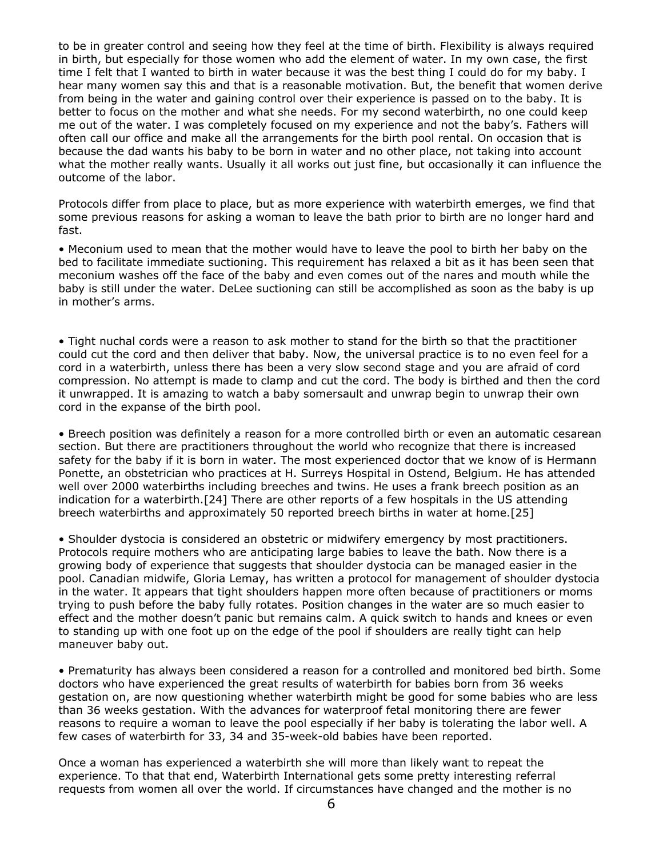to be in greater control and seeing how they feel at the time of birth. Flexibility is always required in birth, but especially for those women who add the element of water. In my own case, the first time I felt that I wanted to birth in water because it was the best thing I could do for my baby. I hear many women say this and that is a reasonable motivation. But, the benefit that women derive from being in the water and gaining control over their experience is passed on to the baby. It is better to focus on the mother and what she needs. For my second waterbirth, no one could keep me out of the water. I was completely focused on my experience and not the baby's. Fathers will often call our office and make all the arrangements for the birth pool rental. On occasion that is because the dad wants his baby to be born in water and no other place, not taking into account what the mother really wants. Usually it all works out just fine, but occasionally it can influence the outcome of the labor.

Protocols differ from place to place, but as more experience with waterbirth emerges, we find that some previous reasons for asking a woman to leave the bath prior to birth are no longer hard and fast.

• Meconium used to mean that the mother would have to leave the pool to birth her baby on the bed to facilitate immediate suctioning. This requirement has relaxed a bit as it has been seen that meconium washes off the face of the baby and even comes out of the nares and mouth while the baby is still under the water. DeLee suctioning can still be accomplished as soon as the baby is up in mother's arms.

• Tight nuchal cords were a reason to ask mother to stand for the birth so that the practitioner could cut the cord and then deliver that baby. Now, the universal practice is to no even feel for a cord in a waterbirth, unless there has been a very slow second stage and you are afraid of cord compression. No attempt is made to clamp and cut the cord. The body is birthed and then the cord it unwrapped. It is amazing to watch a baby somersault and unwrap begin to unwrap their own cord in the expanse of the birth pool.

• Breech position was definitely a reason for a more controlled birth or even an automatic cesarean section. But there are practitioners throughout the world who recognize that there is increased safety for the baby if it is born in water. The most experienced doctor that we know of is Hermann Ponette, an obstetrician who practices at H. Surreys Hospital in Ostend, Belgium. He has attended well over 2000 waterbirths including breeches and twins. He uses a frank breech position as an indication for a waterbirth.[24] There are other reports of a few hospitals in the US attending breech waterbirths and approximately 50 reported breech births in water at home.[25]

• Shoulder dystocia is considered an obstetric or midwifery emergency by most practitioners. Protocols require mothers who are anticipating large babies to leave the bath. Now there is a growing body of experience that suggests that shoulder dystocia can be managed easier in the pool. Canadian midwife, Gloria Lemay, has written a protocol for management of shoulder dystocia in the water. It appears that tight shoulders happen more often because of practitioners or moms trying to push before the baby fully rotates. Position changes in the water are so much easier to effect and the mother doesn't panic but remains calm. A quick switch to hands and knees or even to standing up with one foot up on the edge of the pool if shoulders are really tight can help maneuver baby out.

• Prematurity has always been considered a reason for a controlled and monitored bed birth. Some doctors who have experienced the great results of waterbirth for babies born from 36 weeks gestation on, are now questioning whether waterbirth might be good for some babies who are less than 36 weeks gestation. With the advances for waterproof fetal monitoring there are fewer reasons to require a woman to leave the pool especially if her baby is tolerating the labor well. A few cases of waterbirth for 33, 34 and 35-week-old babies have been reported.

Once a woman has experienced a waterbirth she will more than likely want to repeat the experience. To that that end, Waterbirth International gets some pretty interesting referral requests from women all over the world. If circumstances have changed and the mother is no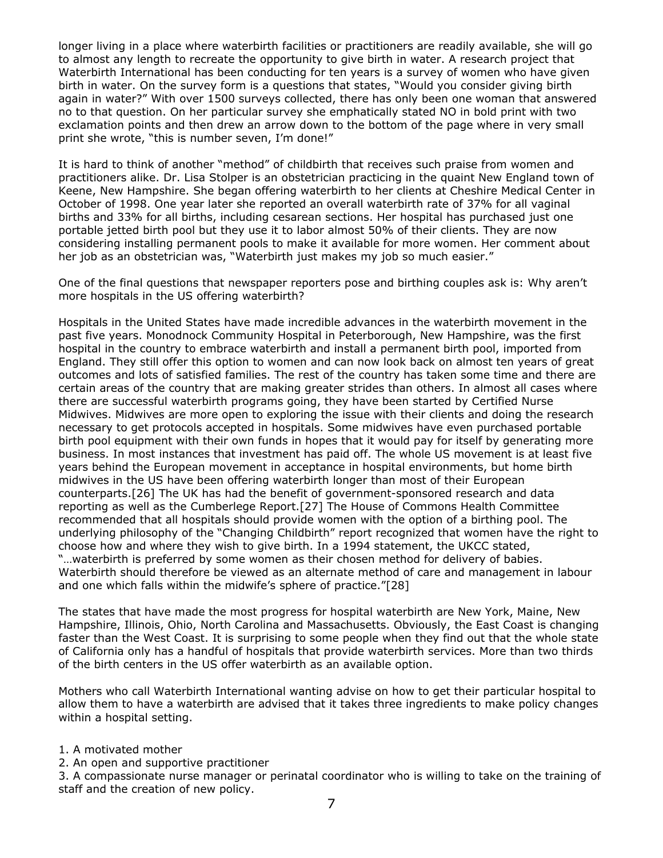longer living in a place where waterbirth facilities or practitioners are readily available, she will go to almost any length to recreate the opportunity to give birth in water. A research project that Waterbirth International has been conducting for ten years is a survey of women who have given birth in water. On the survey form is a questions that states, "Would you consider giving birth again in water?" With over 1500 surveys collected, there has only been one woman that answered no to that question. On her particular survey she emphatically stated NO in bold print with two exclamation points and then drew an arrow down to the bottom of the page where in very small print she wrote, "this is number seven, I'm done!"

It is hard to think of another "method" of childbirth that receives such praise from women and practitioners alike. Dr. Lisa Stolper is an obstetrician practicing in the quaint New England town of Keene, New Hampshire. She began offering waterbirth to her clients at Cheshire Medical Center in October of 1998. One year later she reported an overall waterbirth rate of 37% for all vaginal births and 33% for all births, including cesarean sections. Her hospital has purchased just one portable jetted birth pool but they use it to labor almost 50% of their clients. They are now considering installing permanent pools to make it available for more women. Her comment about her job as an obstetrician was, "Waterbirth just makes my job so much easier."

One of the final questions that newspaper reporters pose and birthing couples ask is: Why aren't more hospitals in the US offering waterbirth?

Hospitals in the United States have made incredible advances in the waterbirth movement in the past five years. Monodnock Community Hospital in Peterborough, New Hampshire, was the first hospital in the country to embrace waterbirth and install a permanent birth pool, imported from England. They still offer this option to women and can now look back on almost ten years of great outcomes and lots of satisfied families. The rest of the country has taken some time and there are certain areas of the country that are making greater strides than others. In almost all cases where there are successful waterbirth programs going, they have been started by Certified Nurse Midwives. Midwives are more open to exploring the issue with their clients and doing the research necessary to get protocols accepted in hospitals. Some midwives have even purchased portable birth pool equipment with their own funds in hopes that it would pay for itself by generating more business. In most instances that investment has paid off. The whole US movement is at least five years behind the European movement in acceptance in hospital environments, but home birth midwives in the US have been offering waterbirth longer than most of their European counterparts.[26] The UK has had the benefit of government-sponsored research and data reporting as well as the Cumberlege Report.[27] The House of Commons Health Committee recommended that all hospitals should provide women with the option of a birthing pool. The underlying philosophy of the "Changing Childbirth" report recognized that women have the right to choose how and where they wish to give birth. In a 1994 statement, the UKCC stated, "…waterbirth is preferred by some women as their chosen method for delivery of babies. Waterbirth should therefore be viewed as an alternate method of care and management in labour and one which falls within the midwife's sphere of practice."[28]

The states that have made the most progress for hospital waterbirth are New York, Maine, New Hampshire, Illinois, Ohio, North Carolina and Massachusetts. Obviously, the East Coast is changing faster than the West Coast. It is surprising to some people when they find out that the whole state of California only has a handful of hospitals that provide waterbirth services. More than two thirds of the birth centers in the US offer waterbirth as an available option.

Mothers who call Waterbirth International wanting advise on how to get their particular hospital to allow them to have a waterbirth are advised that it takes three ingredients to make policy changes within a hospital setting.

- 1. A motivated mother
- 2. An open and supportive practitioner

3. A compassionate nurse manager or perinatal coordinator who is willing to take on the training of staff and the creation of new policy.